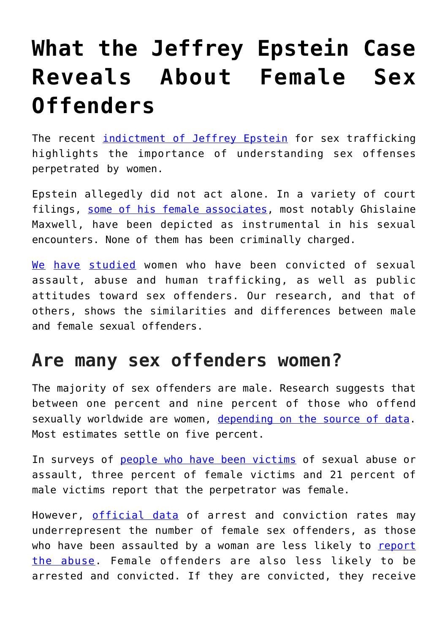## **[What the Jeffrey Epstein Case](https://intellectualtakeout.org/2019/09/what-the-jeffrey-epstein-case-reveals-about-female-sex-offenders/) [Reveals About Female Sex](https://intellectualtakeout.org/2019/09/what-the-jeffrey-epstein-case-reveals-about-female-sex-offenders/) [Offenders](https://intellectualtakeout.org/2019/09/what-the-jeffrey-epstein-case-reveals-about-female-sex-offenders/)**

The recent *[indictment of Jeffrey Epstein](https://www.nytimes.com/2019/07/08/nyregion/jeffrey-epstein-charges.html)* for sex trafficking highlights the importance of understanding sex offenses perpetrated by women.

Epstein allegedly did not act alone. In a variety of court filings, [some of his female associates](https://www.nytimes.com/2019/08/29/nyregion/jeffrey-epstein-ghislaine-maxwell.html), most notably Ghislaine Maxwell, have been depicted as instrumental in his sexual encounters. None of them has been criminally charged.

[We](https://scholar.google.com/citations?user=F9_W6RwAAAAJ&hl=en) [have](https://scholar.google.com/citations?hl=en&user=WOB8ogwAAAAJ) [studied](https://scholar.google.com/citations?hl=en&user=kl7AKH0AAAAJ) women who have been convicted of sexual assault, abuse and human trafficking, as well as public attitudes toward sex offenders. Our research, and that of others, shows the similarities and differences between male and female sexual offenders.

## **Are many sex offenders women?**

The majority of sex offenders are male. Research suggests that between one percent and nine percent of those who offend sexually worldwide are women, [depending on the source of data.](https://www.csom.org/pubs/mythsfacts.pdf) Most estimates settle on five percent.

In surveys of [people who have been victims](https://doi.org/10.1177/0093854816658923) of sexual abuse or assault, three percent of female victims and 21 percent of male victims report that the perpetrator was female.

However, [official data](https://www.ncbi.nlm.nih.gov/pmc/articles/PMC6463078/) of arrest and conviction rates may underrepresent the number of female sex offenders, as those who have been assaulted by a woman are less likely to [report](https://medium.com/s/all-rise/debra-lafave-why-we-cant-see-women-as-sexual-predators-and-why-it-matters-7984bd98b184) [the abuse.](https://medium.com/s/all-rise/debra-lafave-why-we-cant-see-women-as-sexual-predators-and-why-it-matters-7984bd98b184) Female offenders are also less likely to be arrested and convicted. If they are convicted, they receive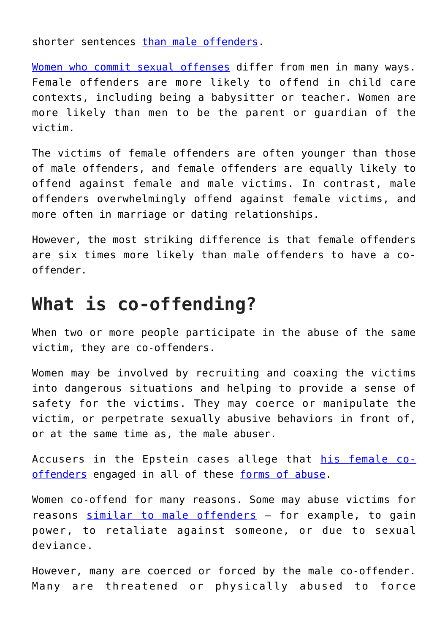shorter sentences [than male offenders](https://doi.org/10.1177/1557085111430214).

[Women who commit sexual offenses](https://doi.org/10.1177/0886260518772110) differ from men in many ways. Female offenders are more likely to offend in child care contexts, including being a babysitter or teacher. Women are more likely than men to be the parent or guardian of the victim.

The victims of female offenders are often younger than those of male offenders, and female offenders are equally likely to offend against female and male victims. In contrast, male offenders overwhelmingly offend against female victims, and more often in marriage or dating relationships.

However, the most striking difference is that female offenders are six times more likely than male offenders to have a cooffender.

## **What is co-offending?**

When two or more people participate in the abuse of the same victim, they are co-offenders.

Women may be involved by recruiting and coaxing the victims into dangerous situations and helping to provide a sense of safety for the victims. They may coerce or manipulate the victim, or perpetrate sexually abusive behaviors in front of, or at the same time as, the male abuser.

Accusers in the Epstein cases allege that [his female co](https://www.nytimes.com/2019/08/29/nyregion/jeffrey-epstein-ghislaine-maxwell.html)[offenders](https://www.nytimes.com/2019/08/29/nyregion/jeffrey-epstein-ghislaine-maxwell.html) engaged in all of these [forms of abuse.](https://www.usatoday.com/story/news/2019/08/23/jeffrey-epstein-estate-prosecution-maxwell-jail-suicide-inner-circle/2018552001/)

Women co-offend for many reasons. Some may abuse victims for reasons [similar to male offenders](https://www.smart.gov/SOMAPI/sec1/ch3_typology.html) - for example, to gain power, to retaliate against someone, or due to sexual deviance.

However, many are coerced or forced by the male co-offender. Many are threatened or physically abused to force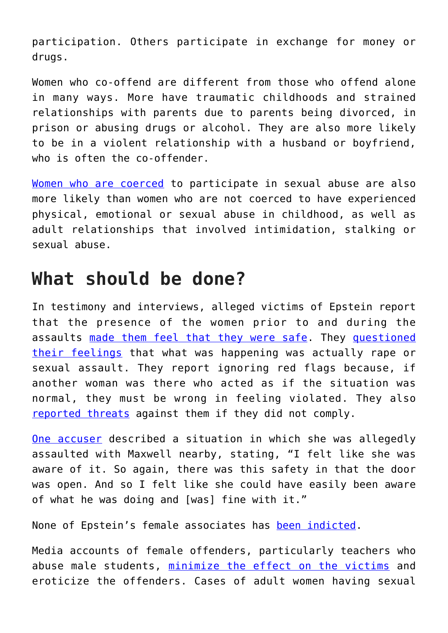participation. Others participate in exchange for money or drugs.

Women who co-offend are different from those who offend alone in many ways. More have traumatic childhoods and strained relationships with parents due to parents being divorced, in prison or abusing drugs or alcohol. They are also more likely to be in a violent relationship with a husband or boyfriend, who is often the co-offender.

[Women who are coerced](http://doi.org/10.1891/0886-6708.33.1.53) to participate in sexual abuse are also more likely than women who are not coerced to have experienced physical, emotional or sexual abuse in childhood, as well as adult relationships that involved intimidation, stalking or sexual abuse.

## **What should be done?**

In testimony and interviews, alleged victims of Epstein report that the presence of the women prior to and during the assaults [made them feel that they were safe.](https://www.nytimes.com/2019/08/26/podcasts/the-daily/epstein-maxwell-farmer-sisters.html) They [questioned](https://www.theatlantic.com/entertainment/archive/2019/08/ghislaine-maxwell-jeffrey-epstein-roger-ailes-judy-laterza-serena-waterford-handmaids-tale/596236/) [their feelings](https://www.theatlantic.com/entertainment/archive/2019/08/ghislaine-maxwell-jeffrey-epstein-roger-ailes-judy-laterza-serena-waterford-handmaids-tale/596236/) that what was happening was actually rape or sexual assault. They report ignoring red flags because, if another woman was there who acted as if the situation was normal, they must be wrong in feeling violated. They also [reported threats](https://www.businessinsider.com/new-epstein-accusers-suit-ghislaine-maxwell-massage-book-coach-girls-2019-8) against them if they did not comply.

[One accuser](https://www.nytimes.com/2019/08/26/podcasts/the-daily/epstein-maxwell-farmer-sisters.html) described a situation in which she was allegedly assaulted with Maxwell nearby, stating, "I felt like she was aware of it. So again, there was this safety in that the door was open. And so I felt like she could have easily been aware of what he was doing and [was] fine with it."

None of Epstein's female associates has [been indicted](https://www.businessinsider.com/ghislaine-maxwell-criminal-charges-jeffrey-epstein-sex-trafficking-conspiracy-2019-8).

Media accounts of female offenders, particularly teachers who abuse male students, [minimize the effect on the victims](https://www.telegraph.co.uk/women/life/truth-female-sex-offenders/) and eroticize the offenders. Cases of adult women having sexual